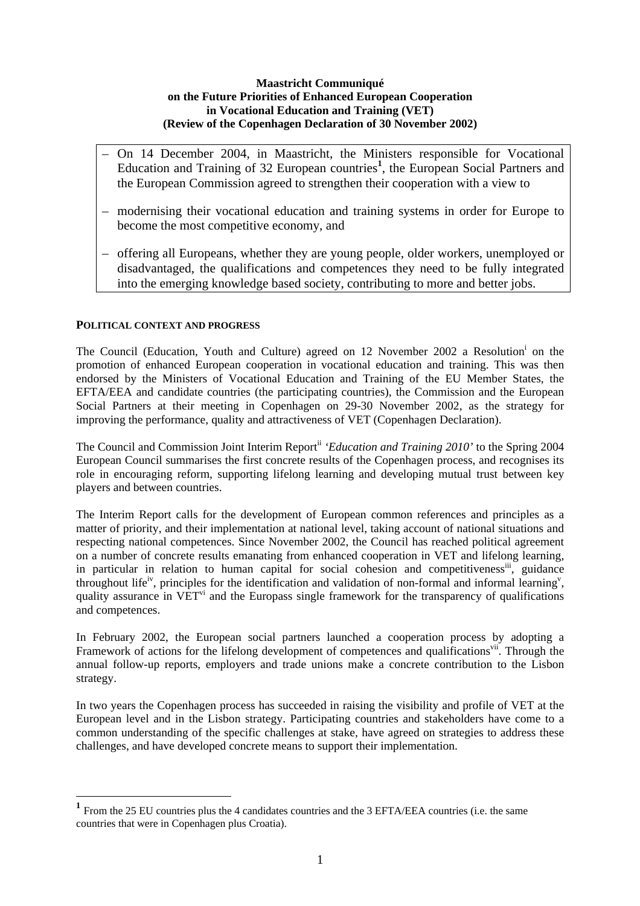# **Maastricht Communiqué on the Future Priorities of Enhanced European Cooperation in Vocational Education and Training (VET) (Review of the Copenhagen Declaration of 30 November 2002)**

- On 14 December 2004, in Maastricht, the Ministers responsible for Vocational Education and Training of 32 European countries<sup>1</sup>, the European Social Partners and the European Commission agreed to strengthen their cooperation with a view to
- modernising their vocational education and training systems in order for Europe to become the most competitive economy, and
- offering all Europeans, whether they are young people, older workers, unemployed or disadvantaged, the qualifications and competences they need to be fully integrated into the emerging knowledge based society, contributing to more and better jobs.

## **POLITICAL CONTEXT AND PROGRESS**

<u>.</u>

The Council (Education, Youth and Culture) agreed on 12 November 2002 a Resolution<sup>i</sup> on the promotion of enhanced European cooperation in vocational education and training. This was then endorsed by the Ministers of Vocational Education and Training of the EU Member States, the EFTA/EEA and candidate countries (the participating countries), the Commission and the European Social Partners at their meeting in Copenhagen on 29-30 November 2002, as the strategy for improving the performance, quality and attractiveness of VET (Copenhagen Declaration).

The Council and Commission Joint Interim Report<sup>ii</sup> 'Education and Training 2010' to the Spring 2004 European Council summarises the first concrete results of the Copenhagen process, and recognises its role in encouraging reform, supporting lifelong learning and developing mutual trust between key players and between countries.

The Interim Report calls for the development of European common references and principles as a matter of priority, and their implementation at national level, taking account of national situations and respecting national competences. Since November 2002, the Council has reached political agreement on a number of concrete results emanating from enhanced cooperation in VET and lifelong learning, in particular in relation to human capital for social cohesion and competitiveness<sup>iii</sup>, guidance throughout life<sup>iv</sup>, principles for the identification and validation of non-formal and informal learning<sup>v</sup>, quality assurance in VET<sup>vi</sup> and the Europass single framework for the transparency of qualifications and competences.

In February 2002, the European social partners launched a cooperation process by adopting a Framework of actions for the lifelong development of competences and qualifications<sup>vii</sup>. Through the annual follow-up reports, employers and trade unions make a concrete contribution to the Lisbon strategy.

In two years the Copenhagen process has succeeded in raising the visibility and profile of VET at the European level and in the Lisbon strategy. Participating countries and stakeholders have come to a common understanding of the specific challenges at stake, have agreed on strategies to address these challenges, and have developed concrete means to support their implementation.

**<sup>1</sup>** From the 25 EU countries plus the 4 candidates countries and the 3 EFTA/EEA countries (i.e. the same countries that were in Copenhagen plus Croatia).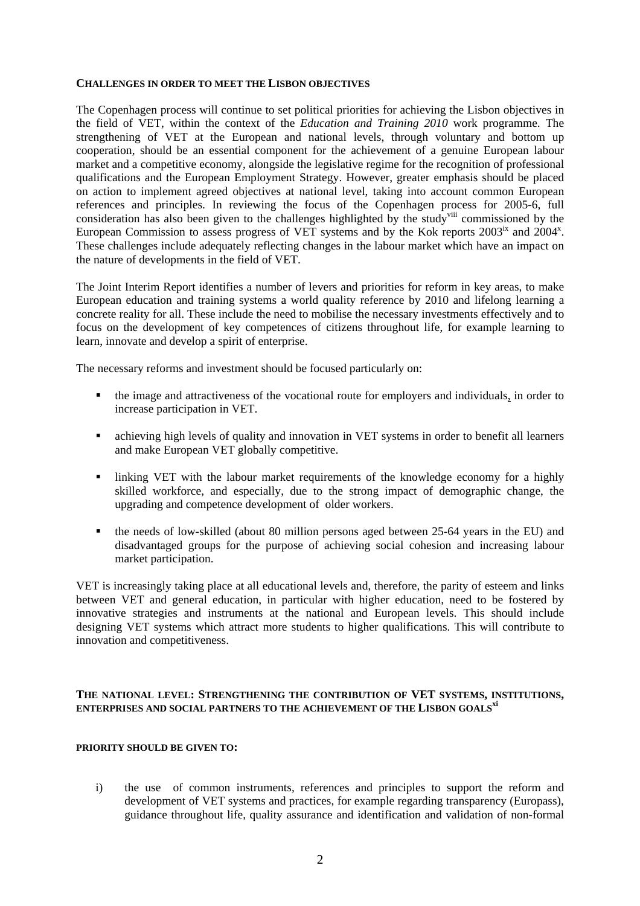#### **CHALLENGES IN ORDER TO MEET THE LISBON OBJECTIVES**

The Copenhagen process will continue to set political priorities for achieving the Lisbon objectives in the field of VET, within the context of the *Education and Training 2010* work programme. The strengthening of VET at the European and national levels, through voluntary and bottom up cooperation, should be an essential component for the achievement of a genuine European labour market and a competitive economy, alongside the legislative regime for the recognition of professional qualifications and the European Employment Strategy. However, greater emphasis should be placed on action to implement agreed objectives at national level, taking into account common European references and principles. In reviewing the focus of the Copenhagen process for 2005-6, full consideration has also been given to the challenges highlighted by the study<sup>viii</sup> commissioned by the European Commission to assess progress of VET systems and by the Kok reports 2003<sup>ix</sup> and 2004<sup>x</sup>. These challenges include adequately reflecting changes in the labour market which have an impact on the nature of developments in the field of VET.

The Joint Interim Report identifies a number of levers and priorities for reform in key areas, to make European education and training systems a world quality reference by 2010 and lifelong learning a concrete reality for all. These include the need to mobilise the necessary investments effectively and to focus on the development of key competences of citizens throughout life, for example learning to learn, innovate and develop a spirit of enterprise.

The necessary reforms and investment should be focused particularly on:

- the image and attractiveness of the vocational route for employers and individuals, in order to increase participation in VET.
- achieving high levels of quality and innovation in VET systems in order to benefit all learners and make European VET globally competitive.
- Inking VET with the labour market requirements of the knowledge economy for a highly skilled workforce, and especially, due to the strong impact of demographic change, the upgrading and competence development of older workers.
- the needs of low-skilled (about 80 million persons aged between 25-64 years in the EU) and disadvantaged groups for the purpose of achieving social cohesion and increasing labour market participation.

VET is increasingly taking place at all educational levels and, therefore, the parity of esteem and links between VET and general education, in particular with higher education, need to be fostered by innovative strategies and instruments at the national and European levels. This should include designing VET systems which attract more students to higher qualifications. This will contribute to innovation and competitiveness.

# **THE NATIONAL LEVEL: STRENGTHENING THE CONTRIBUTION OF VET SYSTEMS, INSTITUTIONS, ENTERPRISES AND SOCIAL PARTNERS TO THE ACHIEVEMENT OF THE LISBON GOALSxi**

## **PRIORITY SHOULD BE GIVEN TO:**

i) the use of common instruments, references and principles to support the reform and development of VET systems and practices, for example regarding transparency (Europass), guidance throughout life, quality assurance and identification and validation of non-formal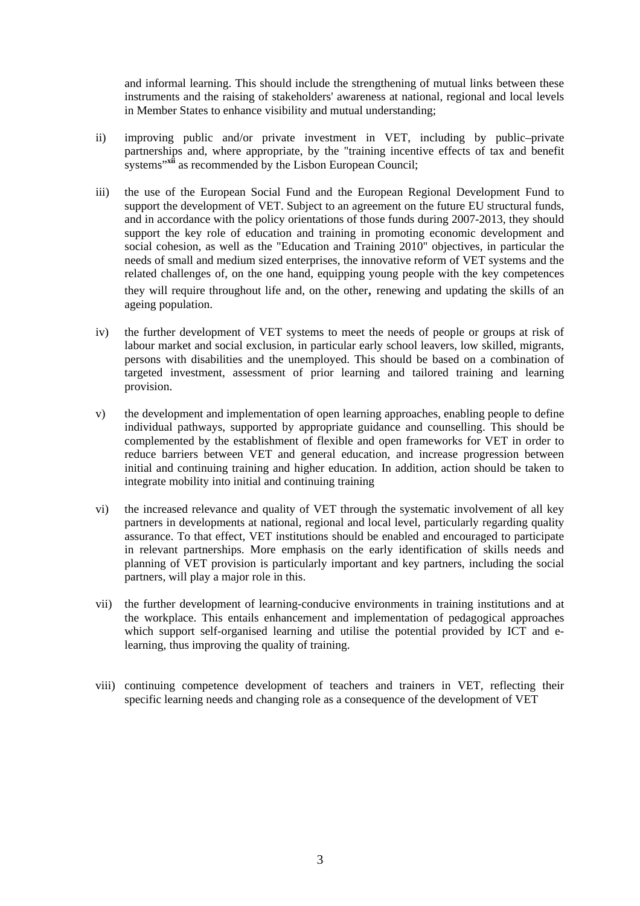and informal learning. This should include the strengthening of mutual links between these instruments and the raising of stakeholders' awareness at national, regional and local levels in Member States to enhance visibility and mutual understanding;

- ii) improving public and/or private investment in VET, including by public–private partnerships and, where appropriate, by the "training incentive effects of tax and benefit systems"<sup>xii</sup> as recommended by the Lisbon European Council:
- iii) the use of the European Social Fund and the European Regional Development Fund to support the development of VET. Subject to an agreement on the future EU structural funds, and in accordance with the policy orientations of those funds during 2007-2013, they should support the key role of education and training in promoting economic development and social cohesion, as well as the "Education and Training 2010" objectives, in particular the needs of small and medium sized enterprises, the innovative reform of VET systems and the related challenges of, on the one hand, equipping young people with the key competences they will require throughout life and, on the other, renewing and updating the skills of an ageing population.
- iv) the further development of VET systems to meet the needs of people or groups at risk of labour market and social exclusion, in particular early school leavers, low skilled, migrants, persons with disabilities and the unemployed. This should be based on a combination of targeted investment, assessment of prior learning and tailored training and learning provision.
- v) the development and implementation of open learning approaches, enabling people to define individual pathways, supported by appropriate guidance and counselling. This should be complemented by the establishment of flexible and open frameworks for VET in order to reduce barriers between VET and general education, and increase progression between initial and continuing training and higher education. In addition, action should be taken to integrate mobility into initial and continuing training
- vi) the increased relevance and quality of VET through the systematic involvement of all key partners in developments at national, regional and local level, particularly regarding quality assurance. To that effect, VET institutions should be enabled and encouraged to participate in relevant partnerships. More emphasis on the early identification of skills needs and planning of VET provision is particularly important and key partners, including the social partners, will play a major role in this.
- vii) the further development of learning-conducive environments in training institutions and at the workplace. This entails enhancement and implementation of pedagogical approaches which support self-organised learning and utilise the potential provided by ICT and elearning, thus improving the quality of training.
- viii) continuing competence development of teachers and trainers in VET, reflecting their specific learning needs and changing role as a consequence of the development of VET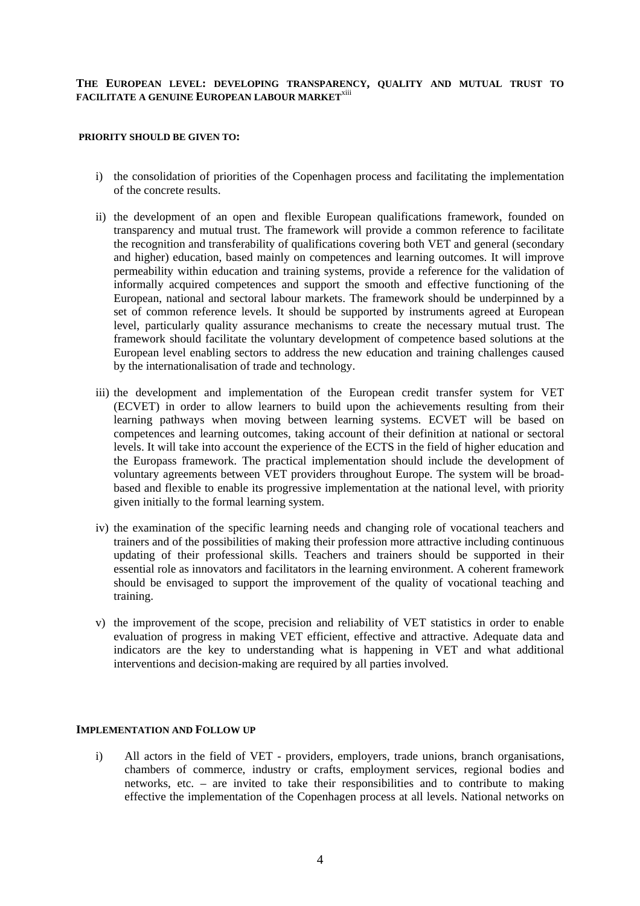# **THE EUROPEAN LEVEL: DEVELOPING TRANSPARENCY, QUALITY AND MUTUAL TRUST TO FACILITATE A GENUINE EUROPEAN LABOUR MARKET**xiii

### **PRIORITY SHOULD BE GIVEN TO:**

- i) the consolidation of priorities of the Copenhagen process and facilitating the implementation of the concrete results.
- ii) the development of an open and flexible European qualifications framework, founded on transparency and mutual trust. The framework will provide a common reference to facilitate the recognition and transferability of qualifications covering both VET and general (secondary and higher) education, based mainly on competences and learning outcomes. It will improve permeability within education and training systems, provide a reference for the validation of informally acquired competences and support the smooth and effective functioning of the European, national and sectoral labour markets. The framework should be underpinned by a set of common reference levels. It should be supported by instruments agreed at European level, particularly quality assurance mechanisms to create the necessary mutual trust. The framework should facilitate the voluntary development of competence based solutions at the European level enabling sectors to address the new education and training challenges caused by the internationalisation of trade and technology.
- iii) the development and implementation of the European credit transfer system for VET (ECVET) in order to allow learners to build upon the achievements resulting from their learning pathways when moving between learning systems. ECVET will be based on competences and learning outcomes, taking account of their definition at national or sectoral levels. It will take into account the experience of the ECTS in the field of higher education and the Europass framework. The practical implementation should include the development of voluntary agreements between VET providers throughout Europe. The system will be broadbased and flexible to enable its progressive implementation at the national level, with priority given initially to the formal learning system.
- iv) the examination of the specific learning needs and changing role of vocational teachers and trainers and of the possibilities of making their profession more attractive including continuous updating of their professional skills. Teachers and trainers should be supported in their essential role as innovators and facilitators in the learning environment. A coherent framework should be envisaged to support the improvement of the quality of vocational teaching and training.
- v) the improvement of the scope, precision and reliability of VET statistics in order to enable evaluation of progress in making VET efficient, effective and attractive. Adequate data and indicators are the key to understanding what is happening in VET and what additional interventions and decision-making are required by all parties involved.

#### **IMPLEMENTATION AND FOLLOW UP**

i) All actors in the field of VET - providers, employers, trade unions, branch organisations, chambers of commerce, industry or crafts, employment services, regional bodies and networks, etc. – are invited to take their responsibilities and to contribute to making effective the implementation of the Copenhagen process at all levels. National networks on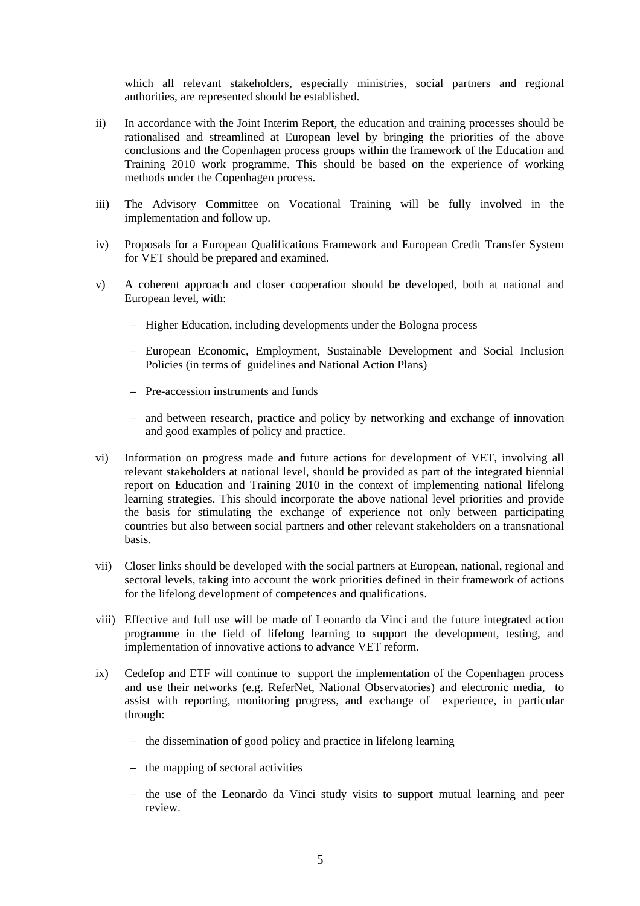which all relevant stakeholders, especially ministries, social partners and regional authorities, are represented should be established.

- ii) In accordance with the Joint Interim Report, the education and training processes should be rationalised and streamlined at European level by bringing the priorities of the above conclusions and the Copenhagen process groups within the framework of the Education and Training 2010 work programme. This should be based on the experience of working methods under the Copenhagen process.
- iii) The Advisory Committee on Vocational Training will be fully involved in the implementation and follow up.
- iv) Proposals for a European Qualifications Framework and European Credit Transfer System for VET should be prepared and examined.
- v) A coherent approach and closer cooperation should be developed, both at national and European level, with:
	- Higher Education, including developments under the Bologna process
	- European Economic, Employment, Sustainable Development and Social Inclusion Policies (in terms of guidelines and National Action Plans)
	- Pre-accession instruments and funds
	- and between research, practice and policy by networking and exchange of innovation and good examples of policy and practice.
- vi) Information on progress made and future actions for development of VET, involving all relevant stakeholders at national level, should be provided as part of the integrated biennial report on Education and Training 2010 in the context of implementing national lifelong learning strategies. This should incorporate the above national level priorities and provide the basis for stimulating the exchange of experience not only between participating countries but also between social partners and other relevant stakeholders on a transnational basis.
- vii) Closer links should be developed with the social partners at European, national, regional and sectoral levels, taking into account the work priorities defined in their framework of actions for the lifelong development of competences and qualifications.
- viii) Effective and full use will be made of Leonardo da Vinci and the future integrated action programme in the field of lifelong learning to support the development, testing, and implementation of innovative actions to advance VET reform.
- ix) Cedefop and ETF will continue to support the implementation of the Copenhagen process and use their networks (e.g. ReferNet, National Observatories) and electronic media, to assist with reporting, monitoring progress, and exchange of experience, in particular through:
	- the dissemination of good policy and practice in lifelong learning
	- the mapping of sectoral activities
	- the use of the Leonardo da Vinci study visits to support mutual learning and peer review.